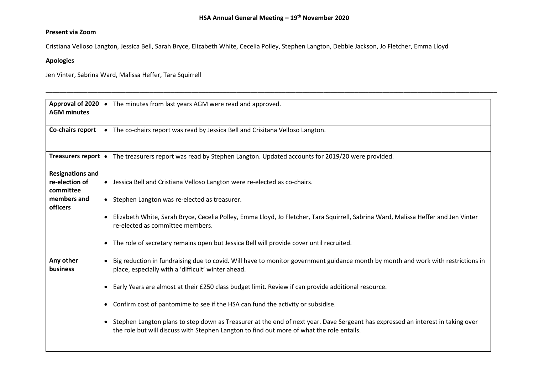\_\_\_\_\_\_\_\_\_\_\_\_\_\_\_\_\_\_\_\_\_\_\_\_\_\_\_\_\_\_\_\_\_\_\_\_\_\_\_\_\_\_\_\_\_\_\_\_\_\_\_\_\_\_\_\_\_\_\_\_\_\_\_\_\_\_\_\_\_\_\_\_\_\_\_\_\_\_\_\_\_\_\_\_\_\_\_\_\_\_\_\_\_\_\_\_\_\_\_\_\_\_\_\_\_\_\_\_\_\_\_\_\_\_\_\_\_\_\_\_\_\_\_\_\_\_\_\_\_\_

## **Present via Zoom**

Cristiana Velloso Langton, Jessica Bell, Sarah Bryce, Elizabeth White, Cecelia Polley, Stephen Langton, Debbie Jackson, Jo Fletcher, Emma Lloyd

## **Apologies**

Jen Vinter, Sabrina Ward, Malissa Heffer, Tara Squirrell

| The minutes from last years AGM were read and approved.                                                                                                                                                                      |
|------------------------------------------------------------------------------------------------------------------------------------------------------------------------------------------------------------------------------|
| The co-chairs report was read by Jessica Bell and Crisitana Velloso Langton.                                                                                                                                                 |
| Treasurers report •<br>The treasurers report was read by Stephen Langton. Updated accounts for 2019/20 were provided.                                                                                                        |
| Jessica Bell and Cristiana Velloso Langton were re-elected as co-chairs.                                                                                                                                                     |
| Stephen Langton was re-elected as treasurer.                                                                                                                                                                                 |
| Elizabeth White, Sarah Bryce, Cecelia Polley, Emma Lloyd, Jo Fletcher, Tara Squirrell, Sabrina Ward, Malissa Heffer and Jen Vinter<br>re-elected as committee members.                                                       |
| The role of secretary remains open but Jessica Bell will provide cover until recruited.                                                                                                                                      |
| Big reduction in fundraising due to covid. Will have to monitor government guidance month by month and work with restrictions in<br>place, especially with a 'difficult' winter ahead.                                       |
| Early Years are almost at their £250 class budget limit. Review if can provide additional resource.                                                                                                                          |
| Confirm cost of pantomime to see if the HSA can fund the activity or subsidise.                                                                                                                                              |
| Stephen Langton plans to step down as Treasurer at the end of next year. Dave Sergeant has expressed an interest in taking over<br>the role but will discuss with Stephen Langton to find out more of what the role entails. |
|                                                                                                                                                                                                                              |